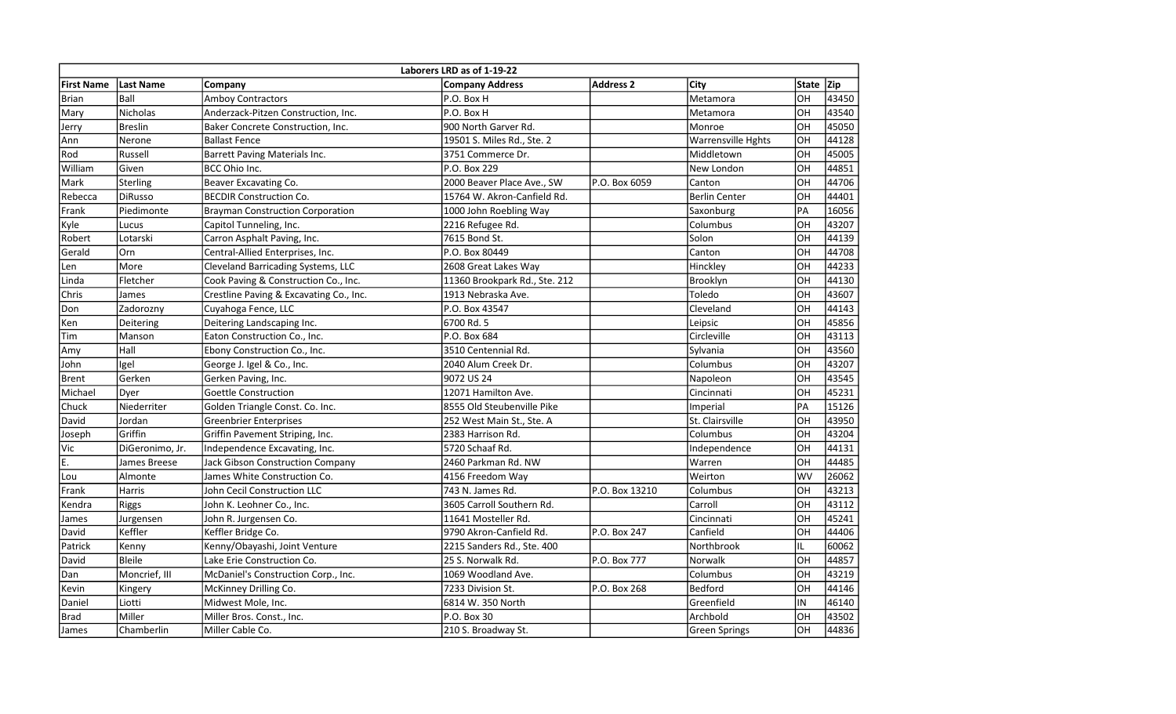| Laborers LRD as of 1-19-22 |                 |                                         |                               |                  |                           |              |       |  |  |  |  |  |
|----------------------------|-----------------|-----------------------------------------|-------------------------------|------------------|---------------------------|--------------|-------|--|--|--|--|--|
| <b>First Name</b>          | Last Name       | Company                                 | <b>Company Address</b>        | <b>Address 2</b> | City                      | <b>State</b> | Zip   |  |  |  |  |  |
| <b>Brian</b>               | Ball            | <b>Amboy Contractors</b>                | P.O. Box H                    |                  | Metamora                  | OH           | 43450 |  |  |  |  |  |
| Mary                       | <b>Nicholas</b> | Anderzack-Pitzen Construction, Inc.     | P.O. Box H                    |                  | Metamora                  | OH           | 43540 |  |  |  |  |  |
| Jerry                      | <b>Breslin</b>  | Baker Concrete Construction, Inc.       | 900 North Garver Rd.          |                  | Monroe                    | OH           | 45050 |  |  |  |  |  |
| Ann                        | Nerone          | <b>Ballast Fence</b>                    | 19501 S. Miles Rd., Ste. 2    |                  | <b>Warrensville Hghts</b> | OH           | 44128 |  |  |  |  |  |
| Rod                        | Russell         | Barrett Paving Materials Inc.           | 3751 Commerce Dr.             |                  | Middletown                | OH           | 45005 |  |  |  |  |  |
| William                    | Given           | BCC Ohio Inc.                           | P.O. Box 229                  |                  | New London                | OH           | 44851 |  |  |  |  |  |
| Mark                       | <b>Sterling</b> | Beaver Excavating Co.                   | 2000 Beaver Place Ave., SW    | P.O. Box 6059    | Canton                    | OH           | 44706 |  |  |  |  |  |
| Rebecca                    | <b>DiRusso</b>  | <b>BECDIR Construction Co.</b>          | 15764 W. Akron-Canfield Rd.   |                  | <b>Berlin Center</b>      | OH           | 44401 |  |  |  |  |  |
| Frank                      | Piedimonte      | <b>Brayman Construction Corporation</b> | 1000 John Roebling Way        |                  | Saxonburg                 | PA           | 16056 |  |  |  |  |  |
| Kyle                       | Lucus           | Capitol Tunneling, Inc.                 | 2216 Refugee Rd.              |                  | Columbus                  | OH           | 43207 |  |  |  |  |  |
| Robert                     | Lotarski        | Carron Asphalt Paving, Inc.             | 7615 Bond St.                 |                  | Solon                     | OH           | 44139 |  |  |  |  |  |
| Gerald                     | Orn             | Central-Allied Enterprises, Inc.        | P.O. Box 80449                |                  | Canton                    | OH           | 44708 |  |  |  |  |  |
| Len                        | More            | Cleveland Barricading Systems, LLC      | 2608 Great Lakes Way          |                  | Hinckley                  | OH           | 44233 |  |  |  |  |  |
| Linda                      | Fletcher        | Cook Paving & Construction Co., Inc.    | 11360 Brookpark Rd., Ste. 212 |                  | Brooklyn                  | OH           | 44130 |  |  |  |  |  |
| Chris                      | James           | Crestline Paving & Excavating Co., Inc. | 1913 Nebraska Ave.            |                  | Toledo                    | OH           | 43607 |  |  |  |  |  |
| Don                        | Zadorozny       | Cuyahoga Fence, LLC                     | P.O. Box 43547                |                  | Cleveland                 | OH           | 44143 |  |  |  |  |  |
| Ken                        | Deitering       | Deitering Landscaping Inc.              | 6700 Rd. 5                    |                  | Leipsic                   | OH           | 45856 |  |  |  |  |  |
| Tim                        | Manson          | Eaton Construction Co., Inc.            | P.O. Box 684                  |                  | Circleville               | OH           | 43113 |  |  |  |  |  |
| Amy                        | Hall            | Ebony Construction Co., Inc.            | 3510 Centennial Rd.           |                  | Sylvania                  | OH           | 43560 |  |  |  |  |  |
| John                       | Igel            | George J. Igel & Co., Inc.              | 2040 Alum Creek Dr.           |                  | Columbus                  | OH           | 43207 |  |  |  |  |  |
| <b>Brent</b>               | Gerken          | Gerken Paving, Inc.                     | 9072 US 24                    |                  | Napoleon                  | OH           | 43545 |  |  |  |  |  |
| Michael                    | Dyer            | Goettle Construction                    | 12071 Hamilton Ave.           |                  | Cincinnati                | OH           | 45231 |  |  |  |  |  |
| Chuck                      | Niederriter     | Golden Triangle Const. Co. Inc.         | 8555 Old Steubenville Pike    |                  | Imperial                  | PA           | 15126 |  |  |  |  |  |
| David                      | Jordan          | <b>Greenbrier Enterprises</b>           | 252 West Main St., Ste. A     |                  | St. Clairsville           | OH           | 43950 |  |  |  |  |  |
| Joseph                     | Griffin         | Griffin Pavement Striping, Inc.         | 2383 Harrison Rd.             |                  | Columbus                  | OH           | 43204 |  |  |  |  |  |
| Vic                        | DiGeronimo, Jr. | Independence Excavating, Inc.           | 5720 Schaaf Rd.               |                  | Independence              | OH           | 44131 |  |  |  |  |  |
| E.                         | James Breese    | <b>Jack Gibson Construction Company</b> | 2460 Parkman Rd. NW           |                  | Warren                    | OH           | 44485 |  |  |  |  |  |
| Lou                        | Almonte         | James White Construction Co.            | 4156 Freedom Way              |                  | Weirton                   | WV           | 26062 |  |  |  |  |  |
| Frank                      | Harris          | John Cecil Construction LLC             | 743 N. James Rd.              | P.O. Box 13210   | Columbus                  | OH           | 43213 |  |  |  |  |  |
| Kendra                     | <b>Riggs</b>    | John K. Leohner Co., Inc.               | 3605 Carroll Southern Rd.     |                  | Carroll                   | OH           | 43112 |  |  |  |  |  |
| James                      | Jurgensen       | John R. Jurgensen Co.                   | 11641 Mosteller Rd.           |                  | Cincinnati                | OH           | 45241 |  |  |  |  |  |
| David                      | Keffler         | Keffler Bridge Co.                      | 9790 Akron-Canfield Rd.       | P.O. Box 247     | Canfield                  | OH           | 44406 |  |  |  |  |  |
| Patrick                    | Kenny           | Kenny/Obayashi, Joint Venture           | 2215 Sanders Rd., Ste. 400    |                  | Northbrook                | IL           | 60062 |  |  |  |  |  |
| David                      | <b>Bleile</b>   | Lake Erie Construction Co.              | 25 S. Norwalk Rd.             | P.O. Box 777     | <b>Norwalk</b>            | OH           | 44857 |  |  |  |  |  |
| Dan                        | Moncrief, III   | McDaniel's Construction Corp., Inc.     | 1069 Woodland Ave.            |                  | Columbus                  | OH           | 43219 |  |  |  |  |  |
| Kevin                      | Kingery         | McKinney Drilling Co.                   | 7233 Division St.             | P.O. Box 268     | <b>Bedford</b>            | OH           | 44146 |  |  |  |  |  |
| Daniel                     | Liotti          | Midwest Mole, Inc.                      | 6814 W. 350 North             |                  | Greenfield                | IN           | 46140 |  |  |  |  |  |
| <b>Brad</b>                | Miller          | Miller Bros. Const., Inc.               | P.O. Box 30                   |                  | Archbold                  | OH           | 43502 |  |  |  |  |  |
| James                      | Chamberlin      | Miller Cable Co.                        | 210 S. Broadway St.           |                  | <b>Green Springs</b>      | OH           | 44836 |  |  |  |  |  |